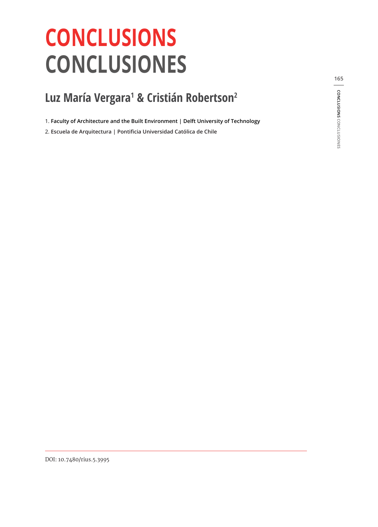## **CONCLUSIONS CONCLUSIONES**

## **Luz María Vergara1 & Cristián Robertson2**

1. **Faculty of Architecture and the Built Environment | Delft University of Technology**

2. **Escuela de Arquitectura | Pontificia Universidad Católica de Chile**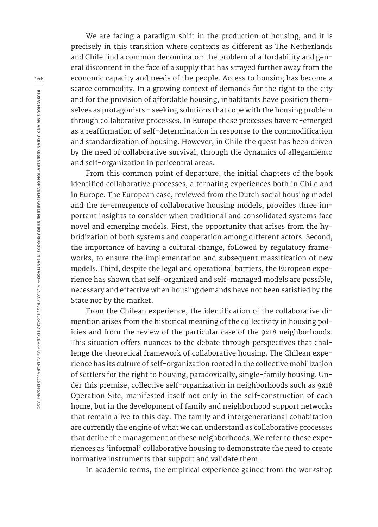We are facing a paradigm shift in the production of housing, and it is precisely in this transition where contexts as different as The Netherlands and Chile find a common denominator: the problem of affordability and general discontent in the face of a supply that has strayed further away from the economic capacity and needs of the people. Access to housing has become a scarce commodity. In a growing context of demands for the right to the city and for the provision of affordable housing, inhabitants have position themselves as protagonists - seeking solutions that cope with the housing problem through collaborative processes. In Europe these processes have re-emerged as a reaffirmation of self-determination in response to the commodification and standardization of housing. However, in Chile the quest has been driven by the need of collaborative survival, through the dynamics of allegamiento and self-organization in pericentral areas.

From this common point of departure, the initial chapters of the book identified collaborative processes, alternating experiences both in Chile and in Europe. The European case, reviewed from the Dutch social housing model and the re-emergence of collaborative housing models, provides three important insights to consider when traditional and consolidated systems face novel and emerging models. First, the opportunity that arises from the hybridization of both systems and cooperation among different actors. Second, the importance of having a cultural change, followed by regulatory frameworks, to ensure the implementation and subsequent massification of new models. Third, despite the legal and operational barriers, the European experience has shown that self-organized and self-managed models are possible, necessary and effective when housing demands have not been satisfied by the State nor by the market.

From the Chilean experience, the identification of the collaborative dimention arises from the historical meaning of the collectivity in housing policies and from the review of the particular case of the 9x18 neighborhoods. This situation offers nuances to the debate through perspectives that challenge the theoretical framework of collaborative housing. The Chilean experience has its culture of self-organization rooted in the collective mobilization of settlers for the right to housing, paradoxically, single-family housing. Under this premise, collective self-organization in neighborhoods such as 9x18 Operation Site, manifested itself not only in the self-construction of each home, but in the development of family and neighborhood support networks that remain alive to this day. The family and intergenerational cohabitation are currently the engine of what we can understand as collaborative processes that define the management of these neighborhoods. We refer to these experiences as 'informal' collaborative housing to demonstrate the need to create normative instruments that support and validate them.

In academic terms, the empirical experience gained from the workshop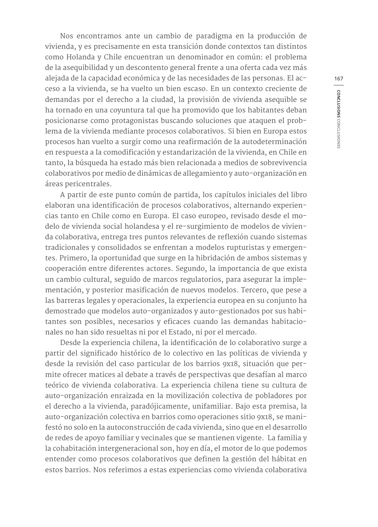Nos encontramos ante un cambio de paradigma en la producción de vivienda, y es precisamente en esta transición donde contextos tan distintos como Holanda y Chile encuentran un denominador en común: el problema de la asequibilidad y un descontento general frente a una oferta cada vez más alejada de la capacidad económica y de las necesidades de las personas. El acceso a la vivienda, se ha vuelto un bien escaso. En un contexto creciente de demandas por el derecho a la ciudad, la provisión de vivienda asequible se ha tornado en una coyuntura tal que ha promovido que los habitantes deban posicionarse como protagonistas buscando soluciones que ataquen el problema de la vivienda mediante procesos colaborativos. Si bien en Europa estos procesos han vuelto a surgir como una reafirmación de la autodeterminación en respuesta a la comodificación y estandarización de la vivienda, en Chile en tanto, la búsqueda ha estado más bien relacionada a medios de sobrevivencia colaborativos por medio de dinámicas de allegamiento y auto-organización en áreas pericentrales.

A partir de este punto común de partida, los capítulos iniciales del libro elaboran una identificación de procesos colaborativos, alternando experiencias tanto en Chile como en Europa. El caso europeo, revisado desde el modelo de vivienda social holandesa y el re-surgimiento de modelos de vivienda colaborativa, entrega tres puntos relevantes de reflexión cuando sistemas tradicionales y consolidados se enfrentan a modelos rupturistas y emergentes. Primero, la oportunidad que surge en la hibridación de ambos sistemas y cooperación entre diferentes actores. Segundo, la importancia de que exista un cambio cultural, seguido de marcos regulatorios, para asegurar la implementación, y posterior masificación de nuevos modelos. Tercero, que pese a las barreras legales y operacionales, la experiencia europea en su conjunto ha demostrado que modelos auto-organizados y auto-gestionados por sus habitantes son posibles, necesarios y eficaces cuando las demandas habitacionales no han sido resueltas ni por el Estado, ni por el mercado.

Desde la experiencia chilena, la identificación de lo colaborativo surge a partir del significado histórico de lo colectivo en las políticas de vivienda y desde la revisión del caso particular de los barrios 9x18, situación que permite ofrecer matices al debate a través de perspectivas que desafían al marco teórico de vivienda colaborativa. La experiencia chilena tiene su cultura de auto-organización enraizada en la movilización colectiva de pobladores por el derecho a la vivienda, paradójicamente, unifamiliar. Bajo esta premisa, la auto-organización colectiva en barrios como operaciones sitio 9x18, se manifestó no solo en la autoconstrucción de cada vivienda, sino que en el desarrollo de redes de apoyo familiar y vecinales que se mantienen vigente. La familia y la cohabitación intergeneracional son, hoy en día, el motor de lo que podemos entender como procesos colaborativos que definen la gestión del hábitat en estos barrios. Nos referimos a estas experiencias como vivienda colaborativa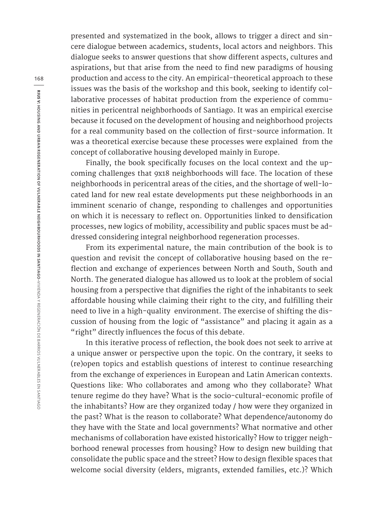presented and systematized in the book, allows to trigger a direct and sincere dialogue between academics, students, local actors and neighbors. This dialogue seeks to answer questions that show different aspects, cultures and aspirations, but that arise from the need to find new paradigms of housing production and access to the city. An empirical-theoretical approach to these issues was the basis of the workshop and this book, seeking to identify collaborative processes of habitat production from the experience of communities in pericentral neighborhoods of Santiago. It was an empirical exercise because it focused on the development of housing and neighborhood projects for a real community based on the collection of first-source information. It was a theoretical exercise because these processes were explained from the concept of collaborative housing developed mainly in Europe.

Finally, the book specifically focuses on the local context and the upcoming challenges that 9x18 neighborhoods will face. The location of these neighborhoods in pericentral areas of the cities, and the shortage of well-located land for new real estate developments put these neighborhoods in an imminent scenario of change, responding to challenges and opportunities on which it is necessary to reflect on. Opportunities linked to densification processes, new logics of mobility, accessibility and public spaces must be addressed considering integral neighborhood regeneration processes.

From its experimental nature, the main contribution of the book is to question and revisit the concept of collaborative housing based on the reflection and exchange of experiences between North and South, South and North. The generated dialogue has allowed us to look at the problem of social housing from a perspective that dignifies the right of the inhabitants to seek affordable housing while claiming their right to the city, and fulfilling their need to live in a high-quality environment. The exercise of shifting the discussion of housing from the logic of "assistance" and placing it again as a "right" directly influences the focus of this debate.

In this iterative process of reflection, the book does not seek to arrive at a unique answer or perspective upon the topic. On the contrary, it seeks to (re)open topics and establish questions of interest to continue researching from the exchange of experiences in European and Latin American contexts. Questions like: Who collaborates and among who they collaborate? What tenure regime do they have? What is the socio-cultural-economic profile of the inhabitants? How are they organized today / how were they organized in the past? What is the reason to collaborate? What dependence/autonomy do they have with the State and local governments? What normative and other mechanisms of collaboration have existed historically? How to trigger neighborhood renewal processes from housing? How to design new building that consolidate the public space and the street? How to design flexible spaces that welcome social diversity (elders, migrants, extended families, etc.)? Which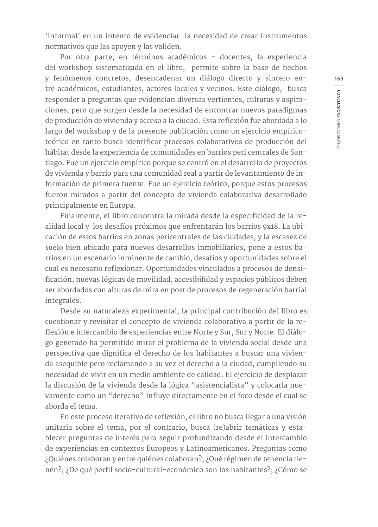'informal' en un intento de evidenciar la necesidad de crear instrumentos normativos que las apoyen y las validen.

Por otra parte, en términos académicos - docentes, la experiencia del workshop sistematizada en el libro, permite sobre la base de hechos y fenómenos concretos, desencadenar un diálogo directo y sincero entre académicos, estudiantes, actores locales y vecinos. Este diálogo, busca responder a preguntas que evidencian diversas vertientes, culturas y aspiraciones, pero que surgen desde la necesidad de encontrar nuevos paradigmas de producción de vivienda y acceso a la ciudad. Esta reflexión fue abordada a lo largo del workshop y de la presente publicación como un ejercicio empíricoteórico en tanto busca identificar procesos colaborativos de producción del hábitat desde la experiencia de comunidades en barrios peri centrales de Santiago. Fue un ejercicio empírico porque se centró en el desarrollo de proyectos de vivienda y barrio para una comunidad real a partir de levantamiento de información de primera fuente. Fue un ejercicio teórico, porque estos procesos fueron mirados a partir del concepto de vivienda colaborativa desarrollado principalmente en Europa.

Finalmente, el libro concentra la mirada desde la especificidad de la realidad local y los desafíos próximos que enfrentarán los barrios 9x18. La ubicación de estos barrios en zonas pericentrales de las ciudades, y la escasez de suelo bien ubicado para nuevos desarrollos inmobiliarios, pone a estos barrios en un escenario inminente de cambio, desafíos y oportunidades sobre el cual es necesario reflexionar. Oportunidades vinculados a procesos de densificación, nuevas lógicas de movilidad, accesibilidad y espacios públicos deben ser abordados con alturas de mira en post de procesos de regeneración barrial integrales.

Desde su naturaleza experimental, la principal contribución del libro es cuestionar y revisitar el concepto de vivienda colaborativa a partir de la reflexión e intercambio de experiencias entre Norte y Sur, Sur y Norte. El diálogo generado ha permitido mirar el problema de la vivienda social desde una perspectiva que dignifica el derecho de los habitantes a buscar una vivienda asequible pero reclamando a su vez el derecho a la ciudad, cumpliendo su necesidad de vivir en un medio ambiente de calidad. El ejercicio de desplazar la discusión de la vivienda desde la lógica "asistencialista" y colocarla nuevamente como un "derecho" influye directamente en el foco desde el cual se aborda el tema.

En este proceso iterativo de reflexión, el libro no busca llegar a una visión unitaria sobre el tema, por el contrario, busca (re)abrir temáticas y establecer preguntas de interés para seguir profundizando desde el intercambio de experiencias en contextos Europeos y Latinoamericanos. Preguntas como ¿Quiénes colaboran y entre quiénes colaboran?; ¿Qué régimen de tenencia tienen?; ¿De qué perfil socio-cultural-económico son los habitantes?; ¿Cómo se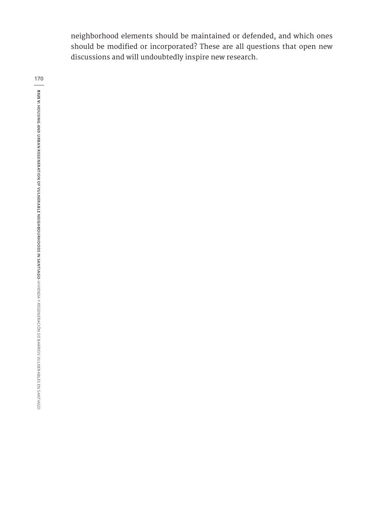neighborhood elements should be maintained or defended, and which ones should be modified or incorporated? These are all questions that open new discussions and will undoubtedly inspire new research.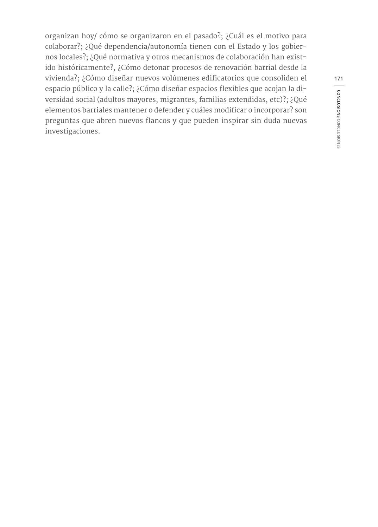organizan hoy/ cómo se organizaron en el pasado?; ¿Cuál es el motivo para colaborar?; ¿Qué dependencia/autonomía tienen con el Estado y los gobiernos locales?; ¿Qué normativa y otros mecanismos de colaboración han existido históricamente?, ¿Cómo detonar procesos de renovación barrial desde la vivienda?; ¿Cómo diseñar nuevos volúmenes edificatorios que consoliden el espacio público y la calle?; ¿Cómo diseñar espacios flexibles que acojan la diversidad social (adultos mayores, migrantes, familias extendidas, etc)?; ¿Qué elementos barriales mantener o defender y cuáles modificar o incorporar? son preguntas que abren nuevos flancos y que pueden inspirar sin duda nuevas investigaciones.